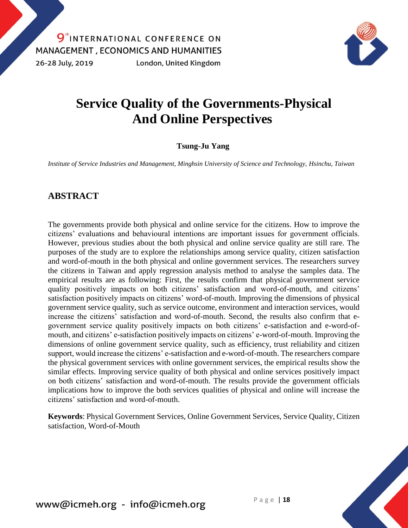

# **Service Quality of the Governments-Physical And Online Perspectives**

#### **Tsung-Ju Yang**

*Institute of Service Industries and Management, Minghsin University of Science and Technology, Hsinchu, Taiwan*

### **ABSTRACT**

The governments provide both physical and online service for the citizens. How to improve the citizens' evaluations and behavioural intentions are important issues for government officials. However, previous studies about the both physical and online service quality are still rare. The purposes of the study are to explore the relationships among service quality, citizen satisfaction and word-of-mouth in the both physical and online government services. The researchers survey the citizens in Taiwan and apply regression analysis method to analyse the samples data. The empirical results are as following: First, the results confirm that physical government service quality positively impacts on both citizens' satisfaction and word-of-mouth, and citizens' satisfaction positively impacts on citizens' word-of-mouth. Improving the dimensions of physical government service quality, such as service outcome, environment and interaction services, would increase the citizens' satisfaction and word-of-mouth. Second, the results also confirm that egovernment service quality positively impacts on both citizens' e-satisfaction and e-word-ofmouth, and citizens' e-satisfaction positively impacts on citizens' e-word-of-mouth. Improving the dimensions of online government service quality, such as efficiency, trust reliability and citizen support, would increase the citizens' e-satisfaction and e-word-of-mouth. The researchers compare the physical government services with online government services, the empirical results show the similar effects. Improving service quality of both physical and online services positively impact on both citizens' satisfaction and word-of-mouth. The results provide the government officials implications how to improve the both services qualities of physical and online will increase the citizens' satisfaction and word-of-mouth.

**Keywords**: Physical Government Services, Online Government Services, Service Quality, Citizen satisfaction, Word-of-Mouth

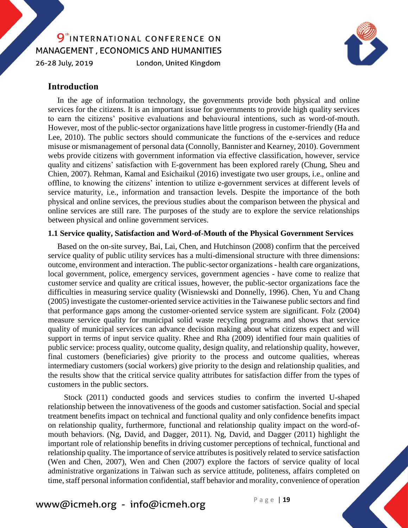#### 9<sup>th</sup>INTERNATIONAL CONFERENCE ON MANAGEMENT, ECONOMICS AND HUMANITIES 26-28 July, 2019 London, United Kingdom



#### **Introduction**

In the age of information technology, the governments provide both physical and online services for the citizens. It is an important issue for governments to provide high quality services to earn the citizens' positive evaluations and behavioural intentions, such as word-of-mouth. However, most of the public-sector organizations have little progress in customer-friendly (Ha and Lee, 2010). The public sectors should communicate the functions of the e-services and reduce misuse or mismanagement of personal data (Connolly, Bannister and Kearney, 2010). Government webs provide citizens with government information via effective classification, however, service quality and citizens' satisfaction with E-government has been explored rarely (Chung, Sheu and Chien, 2007). Rehman, Kamal and Esichaikul (2016) investigate two user groups, i.e., online and offline, to knowing the citizens' intention to utilize e-government services at different levels of service maturity, i.e., information and transaction levels. Despite the importance of the both physical and online services, the previous studies about the comparison between the physical and online services are still rare. The purposes of the study are to explore the service relationships between physical and online government services.

#### **1.1 Service quality, Satisfaction and Word-of-Mouth of the Physical Government Services**

Based on the on-site survey, Bai, Lai, Chen, and Hutchinson (2008) confirm that the perceived service quality of public utility services has a multi-dimensional structure with three dimensions: outcome, environment and interaction. The public-sector organizations - health care organizations, local government, police, emergency services, government agencies - have come to realize that customer service and quality are critical issues, however, the public-sector organizations face the difficulties in measuring service quality (Wisniewski and Donnelly, 1996). Chen, Yu and Chang (2005) investigate the customer-oriented service activities in the Taiwanese public sectors and find that performance gaps among the customer-oriented service system are significant. Folz (2004) measure service quality for municipal solid waste recycling programs and shows that service quality of municipal services can advance decision making about what citizens expect and will support in terms of input service quality. Rhee and Rha (2009) identified four main qualities of public service: process quality, outcome quality, design quality, and relationship quality, however, final customers (beneficiaries) give priority to the process and outcome qualities, whereas intermediary customers (social workers) give priority to the design and relationship qualities, and the results show that the critical service quality attributes for satisfaction differ from the types of customers in the public sectors.

Stock (2011) conducted goods and services studies to confirm the inverted U-shaped relationship between the innovativeness of the goods and customer satisfaction. Social and special treatment benefits impact on technical and functional quality and only confidence benefits impact on relationship quality, furthermore, functional and relationship quality impact on the word-ofmouth behaviors. (Ng, David, and Dagger, 2011). Ng, David, and Dagger (2011) highlight the important role of relationship benefits in driving customer perceptions of technical, functional and relationship quality. The importance of service attributes is positively related to service satisfaction (Wen and Chen, 2007), Wen and Chen (2007) explore the factors of service quality of local administrative organizations in Taiwan such as service attitude, politeness, affairs completed on time, staff personal information confidential, staff behavior and morality, convenience of operation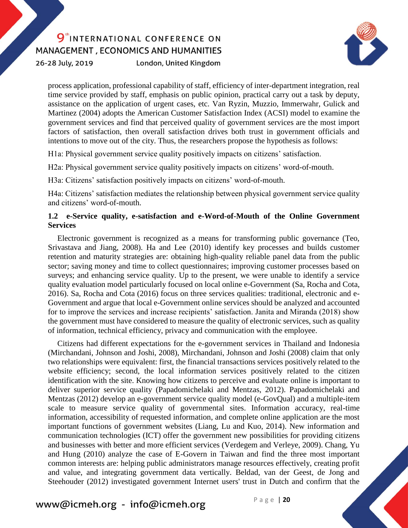26-28 July, 2019

London, United Kingdom



process application, professional capability of staff, efficiency of inter-department integration, real time service provided by staff, emphasis on public opinion, practical carry out a task by deputy, assistance on the application of urgent cases, etc. Van Ryzin, Muzzio, Immerwahr, Gulick and Martinez (2004) adopts the American Customer Satisfaction Index (ACSI) model to examine the government services and find that perceived quality of government services are the most import factors of satisfaction, then overall satisfaction drives both trust in government officials and intentions to move out of the city. Thus, the researchers propose the hypothesis as follows:

H1a: Physical government service quality positively impacts on citizens' satisfaction.

H2a: Physical government service quality positively impacts on citizens' word-of-mouth.

H3a: Citizens' satisfaction positively impacts on citizens' word-of-mouth.

H4a: Citizens' satisfaction mediates the relationship between physical government service quality and citizens' word-of-mouth.

#### **1.2 e-Service quality, e-satisfaction and e-Word-of-Mouth of the Online Government Services**

Electronic government is recognized as a means for transforming public governance (Teo, Srivastava and Jiang, 2008). Ha and Lee (2010) identify key processes and builds customer retention and maturity strategies are: obtaining high-quality reliable panel data from the public sector; saving money and time to collect questionnaires; improving customer processes based on surveys; and enhancing service quality. Up to the present, we were unable to identify a service quality evaluation model particularly focused on local online e-Government (Sa, Rocha and Cota, 2016). Sa, Rocha and Cota (2016) focus on three services qualities: traditional, electronic and e-Government and argue that local e-Government online services should be analyzed and accounted for to improve the services and increase recipients' satisfaction. Janita and Miranda (2018) show the government must have considered to measure the quality of electronic services, such as quality of information, technical efficiency, privacy and communication with the employee.

Citizens had different expectations for the e-government services in Thailand and Indonesia (Mirchandani, Johnson and Joshi, 2008), Mirchandani, Johnson and Joshi (2008) claim that only two relationships were equivalent: first, the financial transactions services positively related to the website efficiency; second, the local information services positively related to the citizen identification with the site. Knowing how citizens to perceive and evaluate online is important to deliver superior service quality (Papadomichelaki and Mentzas, 2012). Papadomichelaki and Mentzas (2012) develop an e-government service quality model (e-GovQual) and a multiple-item scale to measure service quality of governmental sites. Information accuracy, real-time information, accessibility of requested information, and complete online application are the most important functions of government websites (Liang, Lu and Kuo, 2014). New information and communication technologies (ICT) offer the government new possibilities for providing citizens and businesses with better and more efficient services (Verdegem and Verleye, 2009). Chang, Yu and Hung (2010) analyze the case of E-Govern in Taiwan and find the three most important common interests are: helping public administrators manage resources effectively, creating profit and value, and integrating government data vertically. Beldad, van der Geest, de Jong and Steehouder (2012) investigated government Internet users' trust in Dutch and confirm that the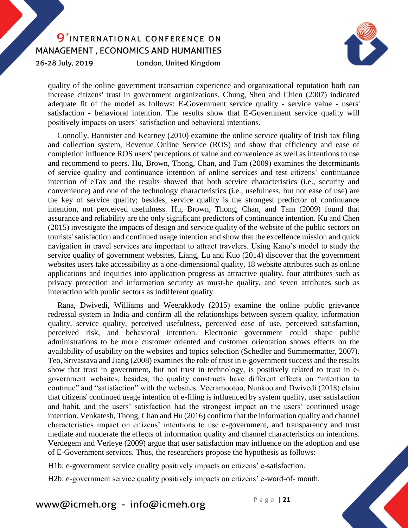26-28 July, 2019

London, United Kingdom



quality of the online government transaction experience and organizational reputation both can increase citizens' trust in government organizations. Chung, Sheu and Chien (2007) indicated adequate fit of the model as follows: E-Government service quality - service value - users' satisfaction - behavioral intention. The results show that E-Government service quality will positively impacts on users' satisfaction and behavioral intentions.

Connolly, Bannister and Kearney (2010) examine the online service quality of Irish tax filing and collection system, Revenue Online Service (ROS) and show that efficiency and ease of completion influence ROS users' perceptions of value and convenience as well as intentions to use and recommend to peers. Hu, Brown, Thong, Chan, and Tam (2009) examines the determinants of service quality and continuance intention of online services and test citizens' continuance intention of eTax and the results showed that both service characteristics (i.e., security and convenience) and one of the technology characteristics (i.e., usefulness, but not ease of use) are the key of service quality; besides, service quality is the strongest predictor of continuance intention, not perceived usefulness. Hu, Brown, Thong, Chan, and Tam (2009) found that assurance and reliability are the only significant predictors of continuance intention. Ku and Chen (2015) investigate the impacts of design and service quality of the website of the public sectors on tourists' satisfaction and continued usage intention and show that the excellence mission and quick navigation in travel services are important to attract travelers. Using Kano's model to study the service quality of government websites, Liang, Lu and Kuo (2014) discover that the government websites users take accessibility as a one-dimensional quality, 18 website attributes such as online applications and inquiries into application progress as attractive quality, four attributes such as privacy protection and information security as must-be quality, and seven attributes such as interaction with public sectors as indifferent quality.

Rana, Dwivedi, Williams and Weerakkody (2015) examine the online public grievance redressal system in India and confirm all the relationships between system quality, information quality, service quality, perceived usefulness, perceived ease of use, perceived satisfaction, perceived risk, and behavioral intention. Electronic government could shape public administrations to be more customer oriented and customer orientation shows effects on the availability of usability on the websites and topics selection (Schedler and Summermatter, 2007). Teo, Srivastava and Jiang (2008) examines the role of trust in e-government success and the results show that trust in government, but not trust in technology, is positively related to trust in egovernment websites, besides, the quality constructs have different effects on "intention to continue" and "satisfaction" with the websites. Veeramootoo, Nunkoo and Dwivedi (2018) claim that citizens' continued usage intention of e-filing is influenced by system quality, user satisfaction and habit, and the users' satisfaction had the strongest impact on the users' continued usage intention. Venkatesh, Thong, Chan and Hu (2016) confirm that the information quality and channel characteristics impact on citizens' intentions to use e-government, and transparency and trust mediate and moderate the effects of information quality and channel characteristics on intentions. Verdegem and Verleye (2009) argue that user satisfaction may influence on the adoption and use of E-Government services. Thus, the researchers propose the hypothesis as follows:

H1b: e-government service quality positively impacts on citizens' e-satisfaction.

H2b: e-government service quality positively impacts on citizens' e-word-of- mouth.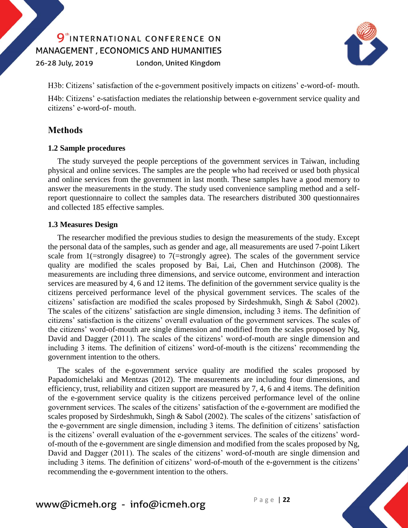26-28 July, 2019

London, United Kingdom



H3b: Citizens' satisfaction of the e-government positively impacts on citizens' e-word-of- mouth.

H4b: Citizens' e-satisfaction mediates the relationship between e-government service quality and citizens' e-word-of- mouth.

#### **Methods**

#### **1.2 Sample procedures**

The study surveyed the people perceptions of the government services in Taiwan, including physical and online services. The samples are the people who had received or used both physical and online services from the government in last month. These samples have a good memory to answer the measurements in the study. The study used convenience sampling method and a selfreport questionnaire to collect the samples data. The researchers distributed 300 questionnaires and collected 185 effective samples.

#### **1.3 Measures Design**

The researcher modified the previous studies to design the measurements of the study. Except the personal data of the samples, such as gender and age, all measurements are used 7-point Likert scale from 1(=strongly disagree) to 7(=strongly agree). The scales of the government service quality are modified the scales proposed by Bai, Lai, Chen and Hutchinson (2008). The measurements are including three dimensions, and service outcome, environment and interaction services are measured by 4, 6 and 12 items. The definition of the government service quality is the citizens perceived performance level of the physical government services. The scales of the citizens' satisfaction are modified the scales proposed by Sirdeshmukh, Singh & Sabol (2002). The scales of the citizens' satisfaction are single dimension, including 3 items. The definition of citizens' satisfaction is the citizens' overall evaluation of the government services. The scales of the citizens' word-of-mouth are single dimension and modified from the scales proposed by Ng, David and Dagger (2011). The scales of the citizens' word-of-mouth are single dimension and including 3 items. The definition of citizens' word-of-mouth is the citizens' recommending the government intention to the others.

The scales of the e-government service quality are modified the scales proposed by Papadomichelaki and Mentzas (2012). The measurements are including four dimensions, and efficiency, trust, reliability and citizen support are measured by 7, 4, 6 and 4 items. The definition of the e-government service quality is the citizens perceived performance level of the online government services. The scales of the citizens' satisfaction of the e-government are modified the scales proposed by Sirdeshmukh, Singh & Sabol (2002). The scales of the citizens' satisfaction of the e-government are single dimension, including 3 items. The definition of citizens' satisfaction is the citizens' overall evaluation of the e-government services. The scales of the citizens' wordof-mouth of the e-government are single dimension and modified from the scales proposed by Ng, David and Dagger (2011). The scales of the citizens' word-of-mouth are single dimension and including 3 items. The definition of citizens' word-of-mouth of the e-government is the citizens' recommending the e-government intention to the others.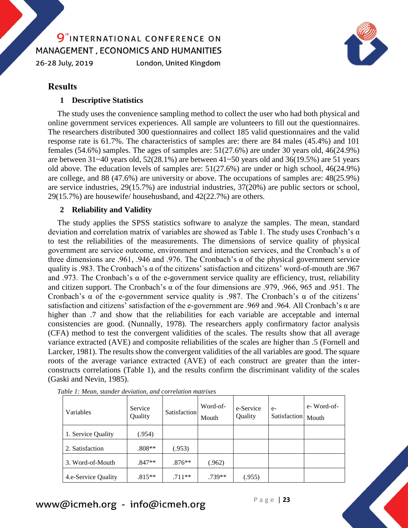26-28 July, 2019

London, United Kingdom



#### **Results**

#### **1 Descriptive Statistics**

The study uses the convenience sampling method to collect the user who had both physical and online government services experiences. All sample are volunteers to fill out the questionnaires. The researchers distributed 300 questionnaires and collect 185 valid questionnaires and the valid response rate is 61.7%. The characteristics of samples are: there are 84 males (45.4%) and 101 females (54.6%) samples. The ages of samples are: 51(27.6%) are under 30 years old, 46(24.9%) are between  $31~-40$  years old,  $52(28.1%)$  are between  $41~-50$  years old and  $36(19.5%)$  are 51 years old above. The education levels of samples are: 51(27.6%) are under or high school, 46(24.9%) are college, and 88 (47.6%) are university or above. The occupations of samples are: 48(25.9%) are service industries, 29(15.7%) are industrial industries, 37(20%) are public sectors or school, 29(15.7%) are housewife/ househusband, and 42(22.7%) are others.

#### **2 Reliability and Validity**

The study applies the SPSS statistics software to analyze the samples. The mean, standard deviation and correlation matrix of variables are showed as Table 1. The study uses Cronbach's α to test the reliabilities of the measurements. The dimensions of service quality of physical government are service outcome, environment and interaction services, and the Cronbach's α of three dimensions are .961, .946 and .976. The Cronbach's  $\alpha$  of the physical government service quality is .983. The Cronbach's α of the citizens' satisfaction and citizens' word-of-mouth are .967 and .973. The Cronbach's  $\alpha$  of the e-government service quality are efficiency, trust, reliability and citizen support. The Cronbach's α of the four dimensions are .979, .966, 965 and .951. The Cronbach's α of the e-government service quality is .987. The Cronbach's α of the citizens' satisfaction and citizens' satisfaction of the e-government are .969 and .964. All Cronbach's α are higher than .7 and show that the reliabilities for each variable are acceptable and internal consistencies are good. (Nunnally, 1978). The researchers apply confirmatory factor analysis (CFA) method to test the convergent validities of the scales. The results show that all average variance extracted (AVE) and composite reliabilities of the scales are higher than .5 (Fornell and Larcker, 1981). The results show the convergent validities of the all variables are good. The square roots of the average variance extracted (AVE) of each construct are greater than the interconstructs correlations (Table 1), and the results confirm the discriminant validity of the scales (Gaski and Nevin, 1985).

| Variables           | Service<br>Quality | Satisfaction | Word-of-<br>Mouth | e-Service<br>Quality | $e-$<br>Satisfaction | e-Word-of-<br>Mouth |
|---------------------|--------------------|--------------|-------------------|----------------------|----------------------|---------------------|
| 1. Service Quality  | .954)              |              |                   |                      |                      |                     |
| 2. Satisfaction     | $.808**$           | (.953)       |                   |                      |                      |                     |
| 3. Word-of-Mouth    | $.847**$           | $.876**$     | (.962)            |                      |                      |                     |
| 4.e-Service Quality | $.815**$           | $.711**$     | $.739**$          | (.955)               |                      |                     |

*Table 1: Mean, stander deviation, and correlation matrixes*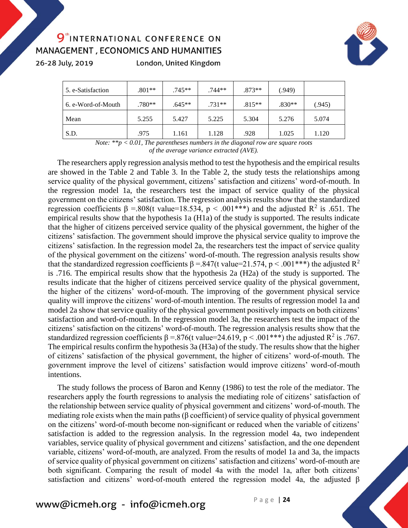26-28 July, 2019

London, United Kingdom



| 5. e-Satisfaction  | $.801**$ | $.745**$ | $.744**$ | $.873**$ | (.949)   |        |
|--------------------|----------|----------|----------|----------|----------|--------|
| 6. e-Word-of-Mouth | $.780**$ | $.645**$ | $.731**$ | $.815**$ | $.830**$ | (.945) |
| Mean               | 5.255    | 5.427    | 5.225    | 5.304    | 5.276    | 5.074  |
| S.D.               | .975     | 1.161    | 1.128    | .928     | 1.025    | 1.120  |

*Note: \*\*p < 0.01, The parentheses numbers in the diagonal row are square roots of the average variance extracted (AVE).*

The researchers apply regression analysis method to test the hypothesis and the empirical results are showed in the Table 2 and Table 3. In the Table 2, the study tests the relationships among service quality of the physical government, citizens' satisfaction and citizens' word-of-mouth. In the regression model 1a, the researchers test the impact of service quality of the physical government on the citizens' satisfaction. The regression analysis results show that the standardized regression coefficients β = 808(t value=18.534, p < .001\*\*\*) and the adjusted R<sup>2</sup> is .651. The empirical results show that the hypothesis 1a (H1a) of the study is supported. The results indicate that the higher of citizens perceived service quality of the physical government, the higher of the citizens' satisfaction. The government should improve the physical service quality to improve the citizens' satisfaction. In the regression model 2a, the researchers test the impact of service quality of the physical government on the citizens' word-of-mouth. The regression analysis results show that the standardized regression coefficients  $\beta = 847$ (t value=21.574, p < .001\*\*\*) the adjusted R<sup>2</sup> is .716. The empirical results show that the hypothesis 2a (H2a) of the study is supported. The results indicate that the higher of citizens perceived service quality of the physical government, the higher of the citizens' word-of-mouth. The improving of the government physical service quality will improve the citizens' word-of-mouth intention. The results of regression model 1a and model 2a show that service quality of the physical government positively impacts on both citizens' satisfaction and word-of-mouth. In the regression model 3a, the researchers test the impact of the citizens' satisfaction on the citizens' word-of-mouth. The regression analysis results show that the standardized regression coefficients  $\beta = 0.876$  (t value=24.619, p < .001\*\*\*) the adjusted R<sup>2</sup> is .767. The empirical results confirm the hypothesis 3a (H3a) of the study. The results show that the higher of citizens' satisfaction of the physical government, the higher of citizens' word-of-mouth. The government improve the level of citizens' satisfaction would improve citizens' word-of-mouth intentions.

The study follows the process of Baron and Kenny (1986) to test the role of the mediator. The researchers apply the fourth regressions to analysis the mediating role of citizens' satisfaction of the relationship between service quality of physical government and citizens' word-of-mouth. The mediating role exists when the main paths (β coefficient) of service quality of physical government on the citizens' word-of-mouth become non-significant or reduced when the variable of citizens' satisfaction is added to the regression analysis. In the regression model 4a, two independent variables, service quality of physical government and citizens' satisfaction, and the one dependent variable, citizens' word-of-mouth, are analyzed. From the results of model 1a and 3a, the impacts of service quality of physical government on citizens' satisfaction and citizens' word-of-mouth are both significant. Comparing the result of model 4a with the model 1a, after both citizens' satisfaction and citizens' word-of-mouth entered the regression model 4a, the adjusted β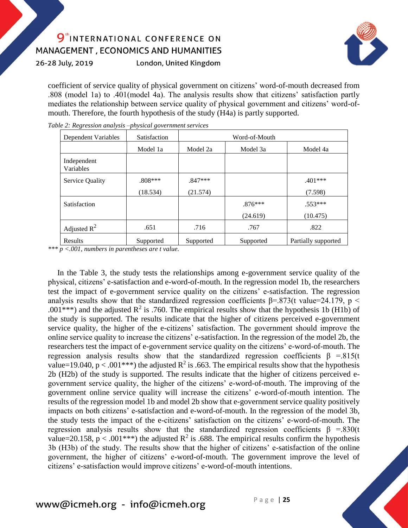26-28 July, 2019

London, United Kingdom



coefficient of service quality of physical government on citizens' word-of-mouth decreased from .808 (model 1a) to .401(model 4a). The analysis results show that citizens' satisfaction partly mediates the relationship between service quality of physical government and citizens' word-ofmouth. Therefore, the fourth hypothesis of the study (H4a) is partly supported.

| <b>Dependent Variables</b> | Satisfaction | Word-of-Mouth |           |                     |  |
|----------------------------|--------------|---------------|-----------|---------------------|--|
|                            | Model 1a     | Model 2a      | Model 3a  | Model 4a            |  |
| Independent<br>Variables   |              |               |           |                     |  |
| Service Quality            | $.808***$    | $.847***$     |           | $.401***$           |  |
|                            | (18.534)     | (21.574)      |           | (7.598)             |  |
| Satisfaction               |              |               | $.876***$ | $.553***$           |  |
|                            |              |               | (24.619)  | (10.475)            |  |
| Adjusted $R^2$             | .651         | .716          | .767      | .822                |  |
| Results                    | Supported    | Supported     | Supported | Partially supported |  |

*Table 2: Regression analysis –physical government services*

*\*\*\* p <.001, numbers in parentheses are t value.*

In the Table 3, the study tests the relationships among e-government service quality of the physical, citizens' e-satisfaction and e-word-of-mouth. In the regression model 1b, the researchers test the impact of e-government service quality on the citizens' e-satisfaction. The regression analysis results show that the standardized regression coefficients  $\beta = .873$ (t value=24.179, p < .001\*\*\*) and the adjusted  $\mathbb{R}^2$  is .760. The empirical results show that the hypothesis 1b (H1b) of the study is supported. The results indicate that the higher of citizens perceived e-government service quality, the higher of the e-citizens' satisfaction. The government should improve the online service quality to increase the citizens' e-satisfaction. In the regression of the model 2b, the researchers test the impact of e-government service quality on the citizens' e-word-of-mouth. The regression analysis results show that the standardized regression coefficients β =.815(t) value=19.040,  $p < .001***$ ) the adjusted R<sup>2</sup> is .663. The empirical results show that the hypothesis 2b (H2b) of the study is supported. The results indicate that the higher of citizens perceived egovernment service quality, the higher of the citizens' e-word-of-mouth. The improving of the government online service quality will increase the citizens' e-word-of-mouth intention. The results of the regression model 1b and model 2b show that e-government service quality positively impacts on both citizens' e-satisfaction and e-word-of-mouth. In the regression of the model 3b, the study tests the impact of the e-citizens' satisfaction on the citizens' e-word-of-mouth. The regression analysis results show that the standardized regression coefficients β =.830(t) value=20.158,  $p < .001***$ ) the adjusted  $R^2$  is .688. The empirical results confirm the hypothesis 3b (H3b) of the study. The results show that the higher of citizens' e-satisfaction of the online government, the higher of citizens' e-word-of-mouth. The government improve the level of citizens' e-satisfaction would improve citizens' e-word-of-mouth intentions.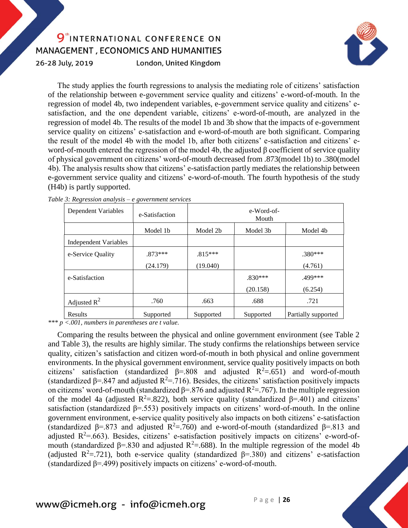26-28 July, 2019

London, United Kingdom



The study applies the fourth regressions to analysis the mediating role of citizens' satisfaction of the relationship between e-government service quality and citizens' e-word-of-mouth. In the regression of model 4b, two independent variables, e-government service quality and citizens' esatisfaction, and the one dependent variable, citizens' e-word-of-mouth, are analyzed in the regression of model 4b. The results of the model 1b and 3b show that the impacts of e-government service quality on citizens' e-satisfaction and e-word-of-mouth are both significant. Comparing the result of the model 4b with the model 1b, after both citizens' e-satisfaction and citizens' eword-of-mouth entered the regression of the model 4b, the adjusted β coefficient of service quality of physical government on citizens' word-of-mouth decreased from .873(model 1b) to .380(model 4b). The analysis results show that citizens' e-satisfaction partly mediates the relationship between e-government service quality and citizens' e-word-of-mouth. The fourth hypothesis of the study (H4b) is partly supported.

| Dependent Variables          | e-Satisfaction       | e-Word-of-<br>Mouth |           |                     |
|------------------------------|----------------------|---------------------|-----------|---------------------|
|                              | Model 1 <sub>b</sub> | Model 2b            | Model 3b  | Model 4b            |
| <b>Independent Variables</b> |                      |                     |           |                     |
| e-Service Quality            | $.873***$            | $.815***$           |           | $.380***$           |
|                              | (24.179)             | (19.040)            |           | (4.761)             |
| e-Satisfaction               |                      |                     | $.830***$ | .499***             |
|                              |                      |                     | (20.158)  | (6.254)             |
| Adjusted $R^2$               | .760                 | .663                | .688      | .721                |
| <b>Results</b>               | Supported            | Supported           | Supported | Partially supported |

*Table 3: Regression analysis – e government services*

*\*\*\* p <.001, numbers in parentheses are t value.*

Comparing the results between the physical and online government environment (see Table 2 and Table 3), the results are highly similar. The study confirms the relationships between service quality, citizen's satisfaction and citizen word-of-mouth in both physical and online government environments. In the physical government environment, service quality positively impacts on both citizens' satisfaction (standardized  $\beta$ =.808 and adjusted  $R^2$ =.651) and word-of-mouth (standardized  $\beta$ =.847 and adjusted R<sup>2</sup>=.716). Besides, the citizens' satisfaction positively impacts on citizens' word-of-mouth (standardized  $\beta$ =.876 and adjusted  $R^2$ =.767). In the multiple regression of the model 4a (adjusted R<sup>2</sup>=.822), both service quality (standardized  $\beta$ =.401) and citizens' satisfaction (standardized β=.553) positively impacts on citizens' word-of-mouth. In the online government environment, e-service quality positively also impacts on both citizens' e-satisfaction (standardized β=.873 and adjusted  $R^2$ =.760) and e-word-of-mouth (standardized β=.813 and adjusted  $R^2 = .663$ ). Besides, citizens' e-satisfaction positively impacts on citizens' e-word-ofmouth (standardized β=.830 and adjusted  $R^2$ =.688). In the multiple regression of the model 4b (adjusted  $R^2 = .721$ ), both e-service quality (standardized  $\beta = .380$ ) and citizens' e-satisfaction (standardized  $\beta$ =.499) positively impacts on citizens' e-word-of-mouth.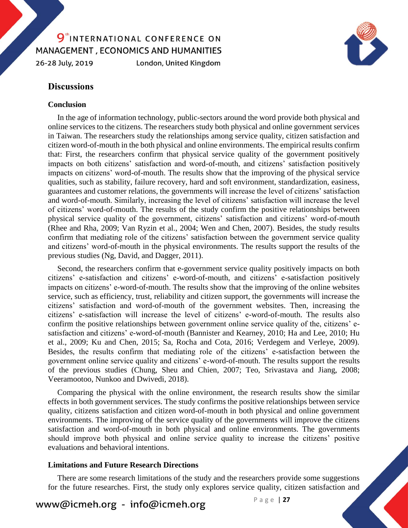#### 9<sup>th</sup>INTERNATIONAL CONFERENCE ON MANAGEMENT, ECONOMICS AND HUMANITIES 26-28 July, 2019 London, United Kingdom



#### **Discussions**

#### **Conclusion**

In the age of information technology, public-sectors around the word provide both physical and online services to the citizens. The researchers study both physical and online government services in Taiwan. The researchers study the relationships among service quality, citizen satisfaction and citizen word-of-mouth in the both physical and online environments. The empirical results confirm that: First, the researchers confirm that physical service quality of the government positively impacts on both citizens' satisfaction and word-of-mouth, and citizens' satisfaction positively impacts on citizens' word-of-mouth. The results show that the improving of the physical service qualities, such as stability, failure recovery, hard and soft environment, standardization, easiness, guarantees and customer relations, the governments will increase the level of citizens' satisfaction and word-of-mouth. Similarly, increasing the level of citizens' satisfaction will increase the level of citizens' word-of-mouth. The results of the study confirm the positive relationships between physical service quality of the government, citizens' satisfaction and citizens' word-of-mouth (Rhee and Rha, 2009; Van Ryzin et al., 2004; Wen and Chen, 2007). Besides, the study results confirm that mediating role of the citizens' satisfaction between the government service quality and citizens' word-of-mouth in the physical environments. The results support the results of the previous studies (Ng, David, and Dagger, 2011).

Second, the researchers confirm that e-government service quality positively impacts on both citizens' e-satisfaction and citizens' e-word-of-mouth, and citizens' e-satisfaction positively impacts on citizens' e-word-of-mouth. The results show that the improving of the online websites service, such as efficiency, trust, reliability and citizen support, the governments will increase the citizens' satisfaction and word-of-mouth of the government websites. Then, increasing the citizens' e-satisfaction will increase the level of citizens' e-word-of-mouth. The results also confirm the positive relationships between government online service quality of the, citizens' esatisfaction and citizens' e-word-of-mouth (Bannister and Kearney, 2010; Ha and Lee, 2010; Hu et al., 2009; Ku and Chen, 2015; Sa, Rocha and Cota, 2016; Verdegem and Verleye, 2009). Besides, the results confirm that mediating role of the citizens' e-satisfaction between the government online service quality and citizens' e-word-of-mouth. The results support the results of the previous studies (Chung, Sheu and Chien, 2007; Teo, Srivastava and Jiang, 2008; Veeramootoo, Nunkoo and Dwivedi, 2018).

Comparing the physical with the online environment, the research results show the similar effects in both government services. The study confirms the positive relationships between service quality, citizens satisfaction and citizen word-of-mouth in both physical and online government environments. The improving of the service quality of the governments will improve the citizens satisfaction and word-of-mouth in both physical and online environments. The governments should improve both physical and online service quality to increase the citizens' positive evaluations and behavioral intentions.

#### **Limitations and Future Research Directions**

There are some research limitations of the study and the researchers provide some suggestions for the future researches. First, the study only explores service quality, citizen satisfaction and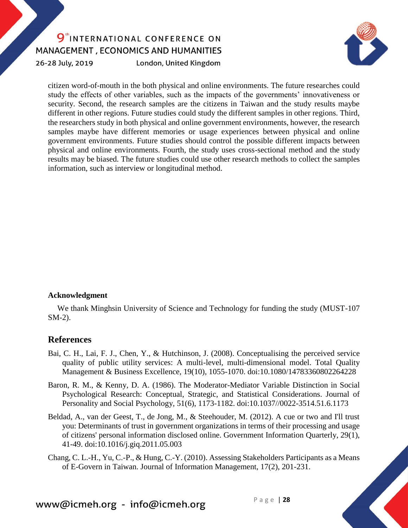26-28 July, 2019

London, United Kingdom



citizen word-of-mouth in the both physical and online environments. The future researches could study the effects of other variables, such as the impacts of the governments' innovativeness or security. Second, the research samples are the citizens in Taiwan and the study results maybe different in other regions. Future studies could study the different samples in other regions. Third, the researchers study in both physical and online government environments, however, the research samples maybe have different memories or usage experiences between physical and online government environments. Future studies should control the possible different impacts between physical and online environments. Fourth, the study uses cross-sectional method and the study results may be biased. The future studies could use other research methods to collect the samples information, such as interview or longitudinal method.

#### **Acknowledgment**

We thank Minghsin University of Science and Technology for funding the study (MUST-107 SM-2).

#### **References**

- Bai, C. H., Lai, F. J., Chen, Y., & Hutchinson, J. (2008). Conceptualising the perceived service quality of public utility services: A multi-level, multi-dimensional model. Total Quality Management & Business Excellence, 19(10), 1055-1070. doi:10.1080/14783360802264228
- Baron, R. M., & Kenny, D. A. (1986). The Moderator-Mediator Variable Distinction in Social Psychological Research: Conceptual, Strategic, and Statistical Considerations. Journal of Personality and Social Psychology, 51(6), 1173-1182. doi:10.1037//0022-3514.51.6.1173
- Beldad, A., van der Geest, T., de Jong, M., & Steehouder, M. (2012). A cue or two and I'll trust you: Determinants of trust in government organizations in terms of their processing and usage of citizens' personal information disclosed online. Government Information Quarterly, 29(1), 41-49. doi:10.1016/j.giq.2011.05.003

Chang, C. L.-H., Yu, C.-P., & Hung, C.-Y. (2010). Assessing Stakeholders Participants as a Means of E-Govern in Taiwan. Journal of Information Management, 17(2), 201-231.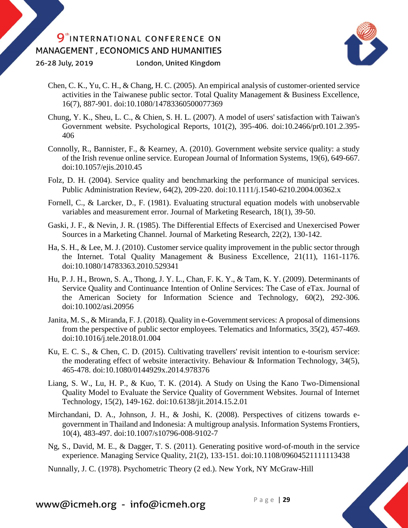26-28 July, 2019

London, United Kingdom



- Chen, C. K., Yu, C. H., & Chang, H. C. (2005). An empirical analysis of customer-oriented service activities in the Taiwanese public sector. Total Quality Management & Business Excellence, 16(7), 887-901. doi:10.1080/14783360500077369
- Chung, Y. K., Sheu, L. C., & Chien, S. H. L. (2007). A model of users' satisfaction with Taiwan's Government website. Psychological Reports, 101(2), 395-406. doi:10.2466/pr0.101.2.395- 406
- Connolly, R., Bannister, F., & Kearney, A. (2010). Government website service quality: a study of the Irish revenue online service. European Journal of Information Systems, 19(6), 649-667. doi:10.1057/ejis.2010.45
- Folz, D. H. (2004). Service quality and benchmarking the performance of municipal services. Public Administration Review, 64(2), 209-220. doi:10.1111/j.1540-6210.2004.00362.x
- Fornell, C., & Larcker, D., F. (1981). Evaluating structural equation models with unobservable variables and measurement error. Journal of Marketing Research, 18(1), 39-50.
- Gaski, J. F., & Nevin, J. R. (1985). The Differential Effects of Exercised and Unexercised Power Sources in a Marketing Channel. Journal of Marketing Research, 22(2), 130-142.
- Ha, S. H., & Lee, M. J. (2010). Customer service quality improvement in the public sector through the Internet. Total Quality Management & Business Excellence, 21(11), 1161-1176. doi:10.1080/14783363.2010.529341
- Hu, P. J. H., Brown, S. A., Thong, J. Y. L., Chan, F. K. Y., & Tam, K. Y. (2009). Determinants of Service Quality and Continuance Intention of Online Services: The Case of eTax. Journal of the American Society for Information Science and Technology, 60(2), 292-306. doi:10.1002/asi.20956
- Janita, M. S., & Miranda, F. J. (2018). Quality in e-Government services: A proposal of dimensions from the perspective of public sector employees. Telematics and Informatics, 35(2), 457-469. doi:10.1016/j.tele.2018.01.004
- Ku, E. C. S., & Chen, C. D. (2015). Cultivating travellers' revisit intention to e-tourism service: the moderating effect of website interactivity. Behaviour & Information Technology, 34(5), 465-478. doi:10.1080/0144929x.2014.978376
- Liang, S. W., Lu, H. P., & Kuo, T. K. (2014). A Study on Using the Kano Two-Dimensional Quality Model to Evaluate the Service Quality of Government Websites. Journal of Internet Technology, 15(2), 149-162. doi:10.6138/jit.2014.15.2.01
- Mirchandani, D. A., Johnson, J. H., & Joshi, K. (2008). Perspectives of citizens towards egovernment in Thailand and Indonesia: A multigroup analysis. Information Systems Frontiers, 10(4), 483-497. doi:10.1007/s10796-008-9102-7
- Ng, S., David, M. E., & Dagger, T. S. (2011). Generating positive word-of-mouth in the service experience. Managing Service Quality, 21(2), 133-151. doi:10.1108/09604521111113438

Nunnally, J. C. (1978). Psychometric Theory (2 ed.). New York, NY McGraw-Hill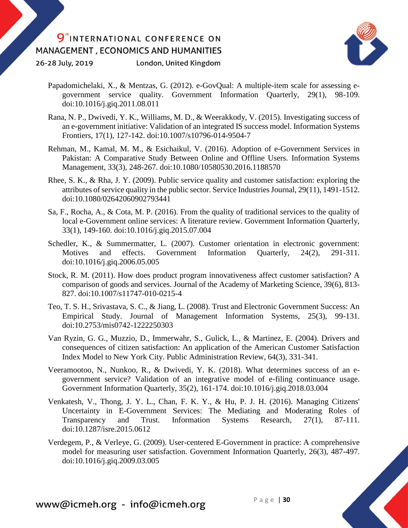London, United Kingdom 26-28 July, 2019



- Papadomichelaki, X., & Mentzas, G. (2012). e-GovQual: A multiple-item scale for assessing egovernment service quality. Government Information Quarterly, 29(1), 98-109. doi:10.1016/j.giq.2011.08.011
- Rana, N. P., Dwivedi, Y. K., Williams, M. D., & Weerakkody, V. (2015). Investigating success of an e-government initiative: Validation of an integrated IS success model. Information Systems Frontiers, 17(1), 127-142. doi:10.1007/s10796-014-9504-7
- Rehman, M., Kamal, M. M., & Esichaikul, V. (2016). Adoption of e-Government Services in Pakistan: A Comparative Study Between Online and Offline Users. Information Systems Management, 33(3), 248-267. doi:10.1080/10580530.2016.1188570
- Rhee, S. K., & Rha, J. Y. (2009). Public service quality and customer satisfaction: exploring the attributes of service quality in the public sector. Service Industries Journal, 29(11), 1491-1512. doi:10.1080/02642060902793441
- Sa, F., Rocha, A., & Cota, M. P. (2016). From the quality of traditional services to the quality of local e-Government online services: A literature review. Government Information Quarterly, 33(1), 149-160. doi:10.1016/j.giq.2015.07.004
- Schedler, K., & Summermatter, L. (2007). Customer orientation in electronic government: Motives and effects. Government Information Quarterly, 24(2), 291-311. doi:10.1016/j.giq.2006.05.005
- Stock, R. M. (2011). How does product program innovativeness affect customer satisfaction? A comparison of goods and services. Journal of the Academy of Marketing Science, 39(6), 813- 827. doi:10.1007/s11747-010-0215-4
- Teo, T. S. H., Srivastava, S. C., & Jiang, L. (2008). Trust and Electronic Government Success: An Empirical Study. Journal of Management Information Systems, 25(3), 99-131. doi:10.2753/mis0742-1222250303
- Van Ryzin, G. G., Muzzio, D., Immerwahr, S., Gulick, L., & Martinez, E. (2004). Drivers and consequences of citizen satisfaction: An application of the American Customer Satisfaction Index Model to New York City. Public Administration Review, 64(3), 331-341.
- Veeramootoo, N., Nunkoo, R., & Dwivedi, Y. K. (2018). What determines success of an egovernment service? Validation of an integrative model of e-filing continuance usage. Government Information Quarterly, 35(2), 161-174. doi:10.1016/j.giq.2018.03.004
- Venkatesh, V., Thong, J. Y. L., Chan, F. K. Y., & Hu, P. J. H. (2016). Managing Citizens' Uncertainty in E-Government Services: The Mediating and Moderating Roles of Transparency and Trust. Information Systems Research, 27(1), 87-111. doi:10.1287/isre.2015.0612
- Verdegem, P., & Verleye, G. (2009). User-centered E-Government in practice: A comprehensive model for measuring user satisfaction. Government Information Quarterly, 26(3), 487-497. doi:10.1016/j.giq.2009.03.005